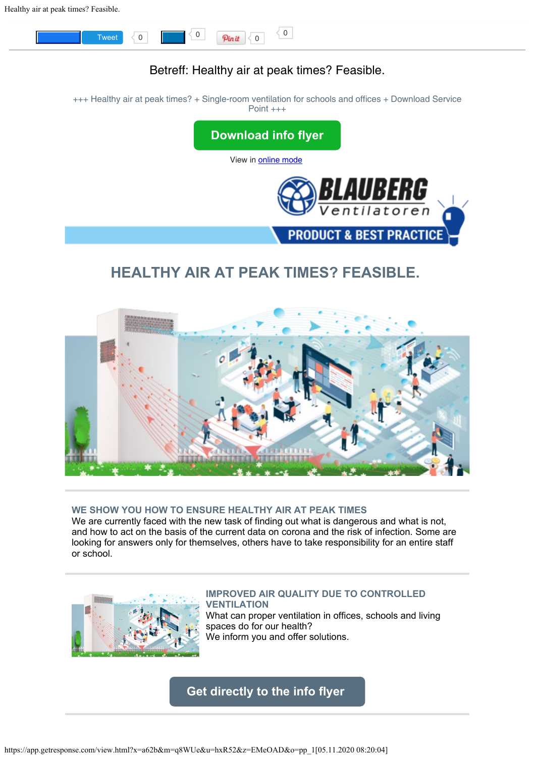

# **WE SHOW YOU HOW TO ENSURE HEALTHY AIR AT PEAK TIMES**

We are currently faced with the new task of finding out what is dangerous and what is not, and how to act on the basis of the current data on corona and the risk of infection. Some are looking for answers only for themselves, others have to take responsibility for an entire staff or school.



#### **IMPROVED AIR QUALITY DUE TO CONTROLLED VENTILATION**

What can proper ventilation in offices, schools and living spaces do for our health? We inform you and offer solutions.

**[Get directly to the info flyer](https://multimedia.getresponse.com/getresponse-hxR52/documents/53c6dc0c-5275-4e5d-a017-eb51b195f1fb.pdf?utm_source=getresponse&utm_medium=email&utm_campaign=intern_marketing&utm_content=Healthy%20air%20at%20peak%20times%3F%20Feasible.)**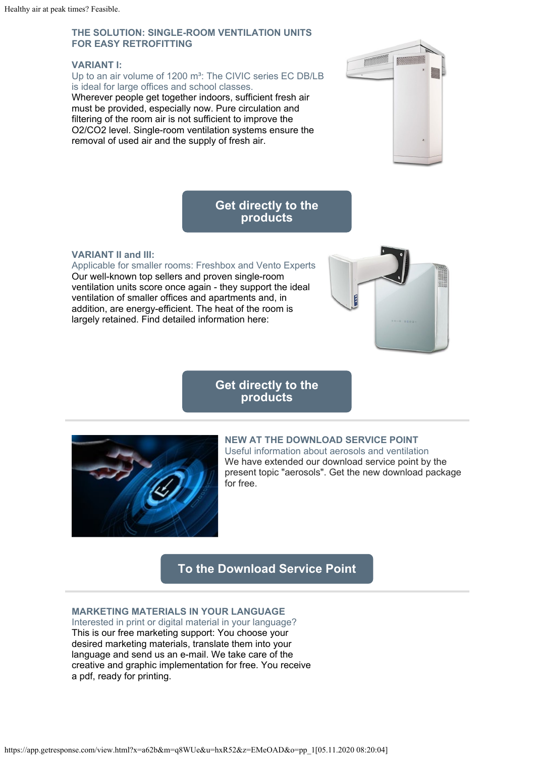## **THE SOLUTION: SINGLE-ROOM VENTILATION UNITS FOR EASY RETROFITTING**

#### **VARIANT I:**

Up to an air volume of 1200 m<sup>3</sup>: The CIVIC series EC DB/LB is ideal for large offices and school classes.

Wherever people get together indoors, sufficient fresh air must be provided, especially now. Pure circulation and filtering of the room air is not sufficient to improve the O2/CO2 level. Single-room ventilation systems ensure the removal of used air and the supply of fresh air.



# **[Get directly to the](https://blaubergventilatoren.de/en/news/article/new-civic-single-room-ventilation-units-with-air-flow-capacity-up-to-1200-mh?utm_source=getresponse&utm_medium=email&utm_campaign=intern_marketing&utm_content=Healthy%20air%20at%20peak%20times%3F%20Feasible.) [products](https://blaubergventilatoren.de/en/news/article/new-civic-single-room-ventilation-units-with-air-flow-capacity-up-to-1200-mh?utm_source=getresponse&utm_medium=email&utm_campaign=intern_marketing&utm_content=Healthy%20air%20at%20peak%20times%3F%20Feasible.)**

### **VARIANT II and III:**

Applicable for smaller rooms: Freshbox and Vento Experts Our well-known top sellers and proven single-room ventilation units score once again - they support the ideal ventilation of smaller offices and apartments and, in addition, are energy-efficient. The heat of the room is largely retained. Find detailed information here:



# **[Get directly to the](https://blaubergventilatoren.de/en/catalog/single-room-air-handling-units-with-heat-recovery?utm_source=getresponse&utm_medium=email&utm_campaign=intern_marketing&utm_content=Healthy%20air%20at%20peak%20times%3F%20Feasible.) [products](https://blaubergventilatoren.de/en/catalog/single-room-air-handling-units-with-heat-recovery?utm_source=getresponse&utm_medium=email&utm_campaign=intern_marketing&utm_content=Healthy%20air%20at%20peak%20times%3F%20Feasible.)**



## **NEW AT THE DOWNLOAD SERVICE POINT**

Useful information about aerosols and ventilation We have extended our download service point by the present topic "aerosols". Get the new download package for free.

# **[To the Download Service Point](https://www.einzelraumlueftung.de/download-service-point/?utm_source=getresponse&utm_medium=email&utm_campaign=intern_marketing&utm_content=Healthy%20air%20at%20peak%20times%3F%20Feasible.)**

## **MARKETING MATERIALS IN YOUR LANGUAGE**

Interested in print or digital material in your language? This is our free marketing support: You choose your desired marketing materials, translate them into your language and send us an e-mail. We take care of the creative and graphic implementation for free. You receive a pdf, ready for printing.